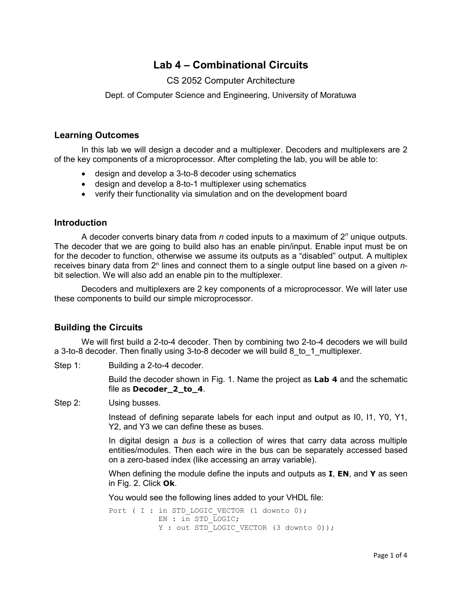# **Lab 4 – Combinational Circuits**

## CS 2052 Computer Architecture

Dept. of Computer Science and Engineering, University of Moratuwa

### **Learning Outcomes**

In this lab we will design a decoder and a multiplexer. Decoders and multiplexers are 2 of the key components of a microprocessor. After completing the lab, you will be able to:

- design and develop a 3-to-8 decoder using schematics
- design and develop a 8-to-1 multiplexer using schematics
- verify their functionality via simulation and on the development board

#### **Introduction**

A decoder converts binary data from *n* coded inputs to a maximum of 2*<sup>n</sup>* unique outputs. The decoder that we are going to build also has an enable pin/input. Enable input must be on for the decoder to function, otherwise we assume its outputs as a "disabled" output. A multiplex receives binary data from 2<sup>n</sup> lines and connect them to a single output line based on a given *n*bit selection. We will also add an enable pin to the multiplexer.

Decoders and multiplexers are 2 key components of a microprocessor. We will later use these components to build our simple microprocessor.

## **Building the Circuits**

We will first build a 2-to-4 decoder. Then by combining two 2-to-4 decoders we will build a 3-to-8 decoder. Then finally using 3-to-8 decoder we will build 8\_to\_1\_multiplexer.

Step 1: Building a 2-to-4 decoder.

Build the decoder shown in Fig. 1. Name the project as **Lab 4** and the schematic file as **Decoder\_2\_to\_4**.

Step 2: Using busses.

Instead of defining separate labels for each input and output as I0, I1, Y0, Y1, Y2, and Y3 we can define these as buses.

In digital design a *bus* is a collection of wires that carry data across multiple entities/modules. Then each wire in the bus can be separately accessed based on a zero-based index (like accessing an array variable).

When defining the module define the inputs and outputs as **I**, **EN**, and **Y** as seen in Fig. 2. Click **Ok**.

You would see the following lines added to your VHDL file:

Port ( I : in STD LOGIC VECTOR (1 downto 0); EN : in STD LOGIC; Y : out STD LOGIC VECTOR (3 downto 0));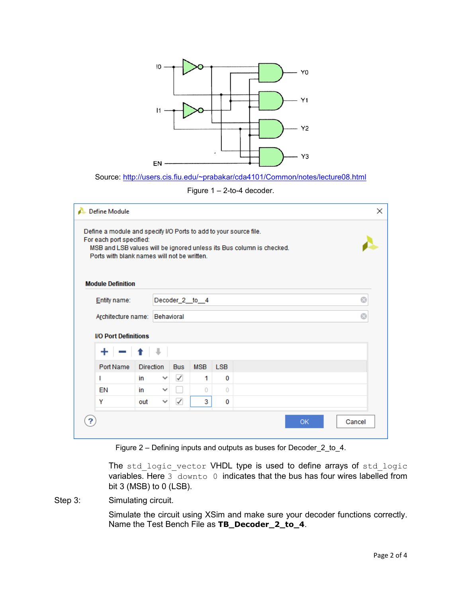

Source:<http://users.cis.fiu.edu/~prabakar/cda4101/Common/notes/lecture08.html>

Figure 1 – 2-to-4 decoder.

| <b>Define Module</b><br>×<br>Define a module and specify I/O Ports to add to your source file.<br>For each port specified:<br>MSB and LSB values will be ignored unless its Bus column is checked.<br>Ports with blank names will not be written.<br><b>Module Definition</b> |                               |                  |                |            |            |            |  |  |           |  |        |   |
|-------------------------------------------------------------------------------------------------------------------------------------------------------------------------------------------------------------------------------------------------------------------------------|-------------------------------|------------------|----------------|------------|------------|------------|--|--|-----------|--|--------|---|
|                                                                                                                                                                                                                                                                               | Entity name:                  |                  | Decoder_2_to_4 |            |            |            |  |  |           |  |        | ø |
|                                                                                                                                                                                                                                                                               | Architecture name: Behavioral |                  |                |            |            |            |  |  |           |  |        | Ø |
| <b>I/O Port Definitions</b>                                                                                                                                                                                                                                                   |                               |                  |                |            |            |            |  |  |           |  |        |   |
|                                                                                                                                                                                                                                                                               |                               |                  |                |            |            |            |  |  |           |  |        |   |
| Port Name                                                                                                                                                                                                                                                                     |                               | <b>Direction</b> |                | <b>Bus</b> | <b>MSB</b> | <b>LSB</b> |  |  |           |  |        |   |
| т                                                                                                                                                                                                                                                                             |                               | in               | $\checkmark$   | ✓          | 1          | 0          |  |  |           |  |        |   |
| EN                                                                                                                                                                                                                                                                            |                               | in               | $\checkmark$   |            | $\Omega$   | $\Omega$   |  |  |           |  |        |   |
| Y                                                                                                                                                                                                                                                                             |                               | out              | $\checkmark$   | ✓          | 3          | 0          |  |  |           |  |        |   |
|                                                                                                                                                                                                                                                                               |                               |                  |                |            |            |            |  |  | <b>OK</b> |  | Cancel |   |

Figure 2 – Defining inputs and outputs as buses for Decoder\_2\_to\_4.

The std logic vector VHDL type is used to define arrays of std logic variables. Here 3 downto 0 indicates that the bus has four wires labelled from bit 3 (MSB) to 0 (LSB).

Step 3: Simulating circuit.

Simulate the circuit using XSim and make sure your decoder functions correctly. Name the Test Bench File as **TB\_Decoder\_2\_to\_4**.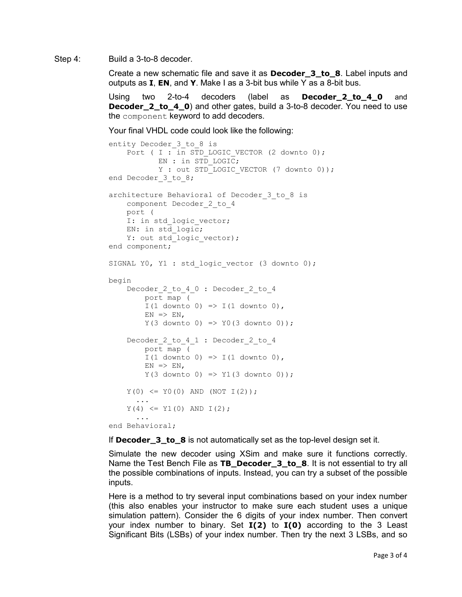Step 4: Build a 3-to-8 decoder.

Create a new schematic file and save it as **Decoder\_3\_to\_8**. Label inputs and outputs as **I**, **EN**, and **Y**. Make I as a 3-bit bus while Y as a 8-bit bus.

Using two 2-to-4 decoders (label as **Decoder\_2\_to\_4\_0** and **Decoder\_2\_to\_4\_0**) and other gates, build a 3-to-8 decoder. You need to use the component keyword to add decoders.

Your final VHDL code could look like the following:

```
entity Decoder 3 to 8 is
    Port ( I : in STD LOGIC VECTOR (2 downto 0);
            EN : in STD_LOGIC;
           Y : out STD LOGIC VECTOR (7 downto 0));
end Decoder_3 to 8;
architecture Behavioral of Decoder 3 to 8 is
     component Decoder_2_to_4 
    port ( 
    I: in std logic vector;
     EN: in std_logic; 
    Y: out std<sup>logic_vector</sup>);
end component;
SIGNAL Y0, Y1 : std logic vector (3 downto 0);
begin
    Decoder 2 to 4 0 : Decoder 2 to 4
         port map ( 
        I(1 downto 0) => I(1 downto 0),
        EN => EN,
        Y(3 downto 0) => Y0(3 downto 0));
    Decoder 2 to 4 1 : Decoder 2 to 4
         port map ( 
        I(1 downto 0) => I(1 downto 0),
        EN \implies EN,
        Y(3 downto 0) => Y1(3 downto 0));
    Y(0) \leq Y0(0) AND (NOT I(2));
      ...
    Y(4) \leq Y1(0) AND I(2);
      ...
end Behavioral;
```
If **Decoder\_3\_to\_8** is not automatically set as the top-level design set it.

Simulate the new decoder using XSim and make sure it functions correctly. Name the Test Bench File as **TB\_Decoder\_3\_to\_8**. It is not essential to try all the possible combinations of inputs. Instead, you can try a subset of the possible inputs.

Here is a method to try several input combinations based on your index number (this also enables your instructor to make sure each student uses a unique simulation pattern). Consider the 6 digits of your index number. Then convert your index number to binary. Set **I(2)** to **I(0)** according to the 3 Least Significant Bits (LSBs) of your index number. Then try the next 3 LSBs, and so